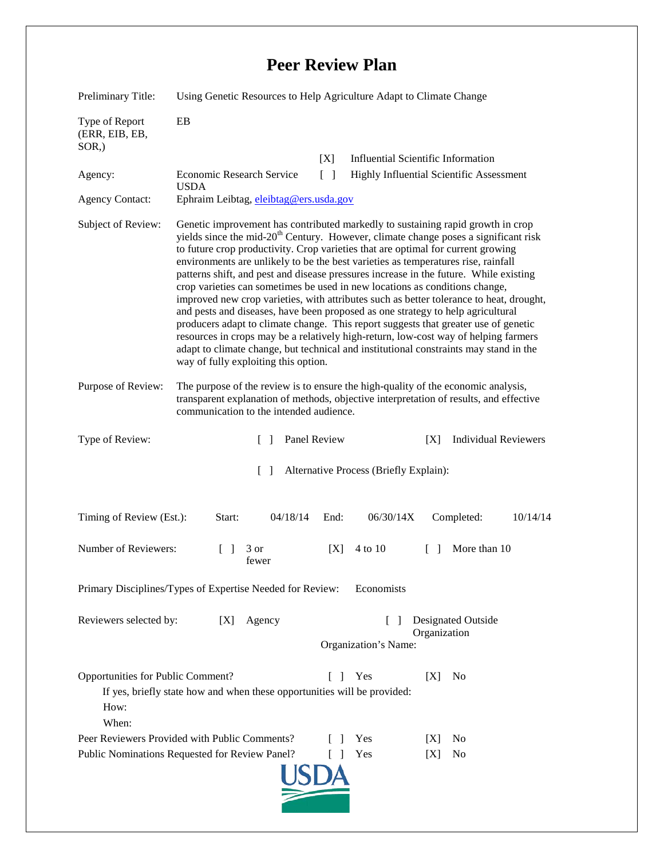## **Peer Review Plan**

| Preliminary Title:                                                                                                                                                             | Using Genetic Resources to Help Agriculture Adapt to Climate Change                                                                                                                                                                                                                                                                                                                                                                                                                                                                                                                                                                                                                                                                                                                                                                                                                                                                                                                                                              |        |                                                            |
|--------------------------------------------------------------------------------------------------------------------------------------------------------------------------------|----------------------------------------------------------------------------------------------------------------------------------------------------------------------------------------------------------------------------------------------------------------------------------------------------------------------------------------------------------------------------------------------------------------------------------------------------------------------------------------------------------------------------------------------------------------------------------------------------------------------------------------------------------------------------------------------------------------------------------------------------------------------------------------------------------------------------------------------------------------------------------------------------------------------------------------------------------------------------------------------------------------------------------|--------|------------------------------------------------------------|
| Type of Report<br>(ERR, EIB, EB,<br>$SOR$ <sub>,</sub> )                                                                                                                       | EB                                                                                                                                                                                                                                                                                                                                                                                                                                                                                                                                                                                                                                                                                                                                                                                                                                                                                                                                                                                                                               |        |                                                            |
|                                                                                                                                                                                |                                                                                                                                                                                                                                                                                                                                                                                                                                                                                                                                                                                                                                                                                                                                                                                                                                                                                                                                                                                                                                  | [X]    | <b>Influential Scientific Information</b>                  |
| Agency:                                                                                                                                                                        | Economic Research Service<br><b>USDA</b>                                                                                                                                                                                                                                                                                                                                                                                                                                                                                                                                                                                                                                                                                                                                                                                                                                                                                                                                                                                         | $\Box$ | Highly Influential Scientific Assessment                   |
| <b>Agency Contact:</b>                                                                                                                                                         | Ephraim Leibtag, eleibtag@ers.usda.gov                                                                                                                                                                                                                                                                                                                                                                                                                                                                                                                                                                                                                                                                                                                                                                                                                                                                                                                                                                                           |        |                                                            |
| Subject of Review:                                                                                                                                                             | Genetic improvement has contributed markedly to sustaining rapid growth in crop<br>yields since the mid-20 <sup>th</sup> Century. However, climate change poses a significant risk<br>to future crop productivity. Crop varieties that are optimal for current growing<br>environments are unlikely to be the best varieties as temperatures rise, rainfall<br>patterns shift, and pest and disease pressures increase in the future. While existing<br>crop varieties can sometimes be used in new locations as conditions change,<br>improved new crop varieties, with attributes such as better tolerance to heat, drought,<br>and pests and diseases, have been proposed as one strategy to help agricultural<br>producers adapt to climate change. This report suggests that greater use of genetic<br>resources in crops may be a relatively high-return, low-cost way of helping farmers<br>adapt to climate change, but technical and institutional constraints may stand in the<br>way of fully exploiting this option. |        |                                                            |
| Purpose of Review:                                                                                                                                                             | The purpose of the review is to ensure the high-quality of the economic analysis,<br>transparent explanation of methods, objective interpretation of results, and effective<br>communication to the intended audience.                                                                                                                                                                                                                                                                                                                                                                                                                                                                                                                                                                                                                                                                                                                                                                                                           |        |                                                            |
| Type of Review:                                                                                                                                                                | Panel Review<br>$\Box$                                                                                                                                                                                                                                                                                                                                                                                                                                                                                                                                                                                                                                                                                                                                                                                                                                                                                                                                                                                                           |        | <b>Individual Reviewers</b><br>[X]                         |
| Alternative Process (Briefly Explain):<br>$\Box$                                                                                                                               |                                                                                                                                                                                                                                                                                                                                                                                                                                                                                                                                                                                                                                                                                                                                                                                                                                                                                                                                                                                                                                  |        |                                                            |
| Timing of Review (Est.):                                                                                                                                                       | Start:<br>04/18/14                                                                                                                                                                                                                                                                                                                                                                                                                                                                                                                                                                                                                                                                                                                                                                                                                                                                                                                                                                                                               | End:   | 06/30/14X<br>Completed:<br>10/14/14                        |
| Number of Reviewers:                                                                                                                                                           | $\Box$<br>3 or<br>fewer                                                                                                                                                                                                                                                                                                                                                                                                                                                                                                                                                                                                                                                                                                                                                                                                                                                                                                                                                                                                          | [X]    | More than 10<br>4 to 10<br>$\Box$                          |
| Economists<br>Primary Disciplines/Types of Expertise Needed for Review:                                                                                                        |                                                                                                                                                                                                                                                                                                                                                                                                                                                                                                                                                                                                                                                                                                                                                                                                                                                                                                                                                                                                                                  |        |                                                            |
| Reviewers selected by:                                                                                                                                                         | Agency<br>[X]                                                                                                                                                                                                                                                                                                                                                                                                                                                                                                                                                                                                                                                                                                                                                                                                                                                                                                                                                                                                                    |        | Designated Outside<br>Organization<br>Organization's Name: |
| Opportunities for Public Comment?<br>N <sub>0</sub><br>Yes<br>[X]<br>$\mathbf{L}$<br>If yes, briefly state how and when these opportunities will be provided:<br>How:<br>When: |                                                                                                                                                                                                                                                                                                                                                                                                                                                                                                                                                                                                                                                                                                                                                                                                                                                                                                                                                                                                                                  |        |                                                            |
|                                                                                                                                                                                | Peer Reviewers Provided with Public Comments?                                                                                                                                                                                                                                                                                                                                                                                                                                                                                                                                                                                                                                                                                                                                                                                                                                                                                                                                                                                    |        | Yes<br>N <sub>0</sub><br> X                                |
| Public Nominations Requested for Review Panel?<br>Yes<br>[X]<br>No                                                                                                             |                                                                                                                                                                                                                                                                                                                                                                                                                                                                                                                                                                                                                                                                                                                                                                                                                                                                                                                                                                                                                                  |        |                                                            |